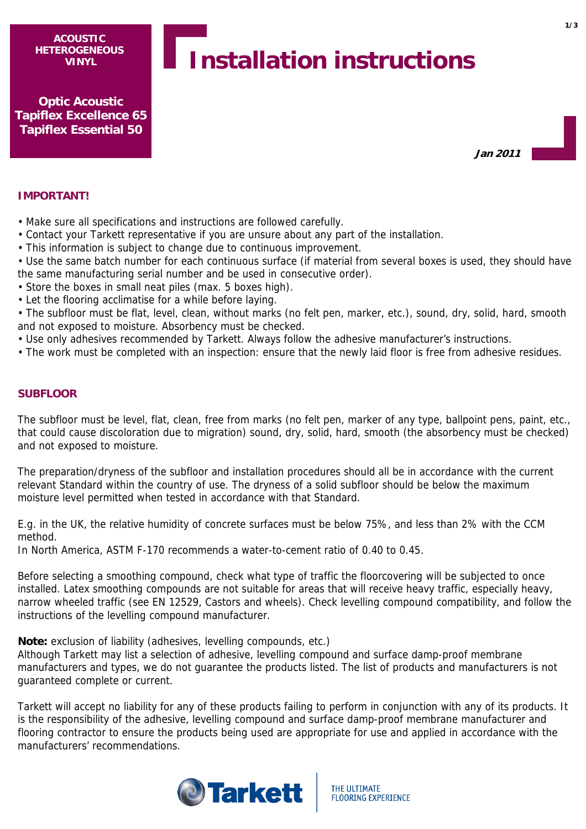**ACOUSTIC HETEROGENEOUS VINYL**

# **Installation instructions**

**Optic Acoustic Tapiflex Excellence 65 Tapiflex Essential 50**

**Jan 2011**

## **IMPORTANT!**

• Make sure all specifications and instructions are followed carefully.

- Contact your Tarkett representative if you are unsure about any part of the installation.
- This information is subject to change due to continuous improvement.

• Use the same batch number for each continuous surface (if material from several boxes is used, they should have the same manufacturing serial number and be used in consecutive order).

- Store the boxes in small neat piles (max. 5 boxes high).
- Let the flooring acclimatise for a while before laying.

• The subfloor must be flat, level, clean, without marks (no felt pen, marker, etc.), sound, dry, solid, hard, smooth and not exposed to moisture. Absorbency must be checked.

- Use only adhesives recommended by Tarkett. Always follow the adhesive manufacturer's instructions.
- The work must be completed with an inspection: ensure that the newly laid floor is free from adhesive residues.

## **SUBFLOOR**

The subfloor must be level, flat, clean, free from marks (no felt pen, marker of any type, ballpoint pens, paint, etc., that could cause discoloration due to migration) sound, dry, solid, hard, smooth (the absorbency must be checked) and not exposed to moisture.

The preparation/dryness of the subfloor and installation procedures should all be in accordance with the current relevant Standard within the country of use. The dryness of a solid subfloor should be below the maximum moisture level permitted when tested in accordance with that Standard.

E.g. in the UK, the relative humidity of concrete surfaces must be below 75%, and less than 2% with the CCM method.

In North America, ASTM F-170 recommends a water-to-cement ratio of 0.40 to 0.45.

Before selecting a smoothing compound, check what type of traffic the floorcovering will be subjected to once installed. Latex smoothing compounds are not suitable for areas that will receive heavy traffic, especially heavy, narrow wheeled traffic (see EN 12529, Castors and wheels). Check levelling compound compatibility, and follow the instructions of the levelling compound manufacturer.

**Note:** exclusion of liability (adhesives, levelling compounds, etc.)

Although Tarkett may list a selection of adhesive, levelling compound and surface damp-proof membrane manufacturers and types, we do not guarantee the products listed. The list of products and manufacturers is not guaranteed complete or current.

Tarkett will accept no liability for any of these products failing to perform in conjunction with any of its products. It is the responsibility of the adhesive, levelling compound and surface damp-proof membrane manufacturer and flooring contractor to ensure the products being used are appropriate for use and applied in accordance with the manufacturers' recommendations.

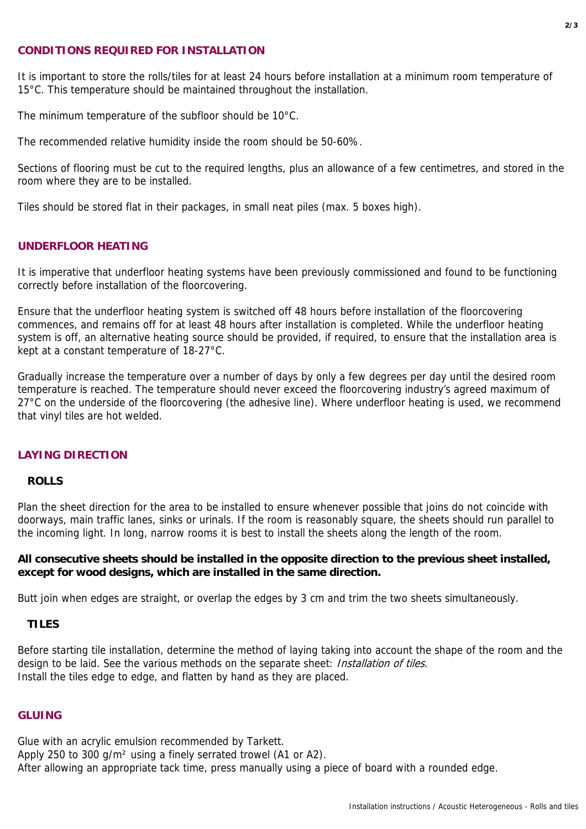## **CONDITIONS REQUIRED FOR INSTALLATION**

It is important to store the rolls/tiles for at least 24 hours before installation at a minimum room temperature of 15°C. This temperature should be maintained throughout the installation.

The minimum temperature of the subfloor should be 10°C.

The recommended relative humidity inside the room should be 50-60%.

Sections of flooring must be cut to the required lengths, plus an allowance of a few centimetres, and stored in the room where they are to be installed.

Tiles should be stored flat in their packages, in small neat piles (max. 5 boxes high).

## **UNDERFLOOR HEATING**

It is imperative that underfloor heating systems have been previously commissioned and found to be functioning correctly before installation of the floorcovering.

Ensure that the underfloor heating system is switched off 48 hours before installation of the floorcovering commences, and remains off for at least 48 hours after installation is completed. While the underfloor heating system is off, an alternative heating source should be provided, if required, to ensure that the installation area is kept at a constant temperature of 18-27°C.

Gradually increase the temperature over a number of days by only a few degrees per day until the desired room temperature is reached. The temperature should never exceed the floorcovering industry's agreed maximum of 27°C on the underside of the floorcovering (the adhesive line). Where underfloor heating is used, we recommend that vinyl tiles are hot welded.

## **LAYING DIRECTION**

## **ROLLS**

Plan the sheet direction for the area to be installed to ensure whenever possible that joins do not coincide with doorways, main traffic lanes, sinks or urinals. If the room is reasonably square, the sheets should run parallel to the incoming light. In long, narrow rooms it is best to install the sheets along the length of the room.

## **All consecutive sheets should be installed in the opposite direction to the previous sheet installed, except for wood designs, which are installed in the same direction.**

Butt join when edges are straight, or overlap the edges by 3 cm and trim the two sheets simultaneously.

#### **TILES**

Before starting tile installation, determine the method of laying taking into account the shape of the room and the design to be laid. See the various methods on the separate sheet: *Installation of tiles*. Install the tiles edge to edge, and flatten by hand as they are placed.

## **GLUING**

Glue with an acrylic emulsion recommended by Tarkett. Apply 250 to 300 g/m² using a finely serrated trowel (A1 or A2). After allowing an appropriate tack time, press manually using a piece of board with a rounded edge.